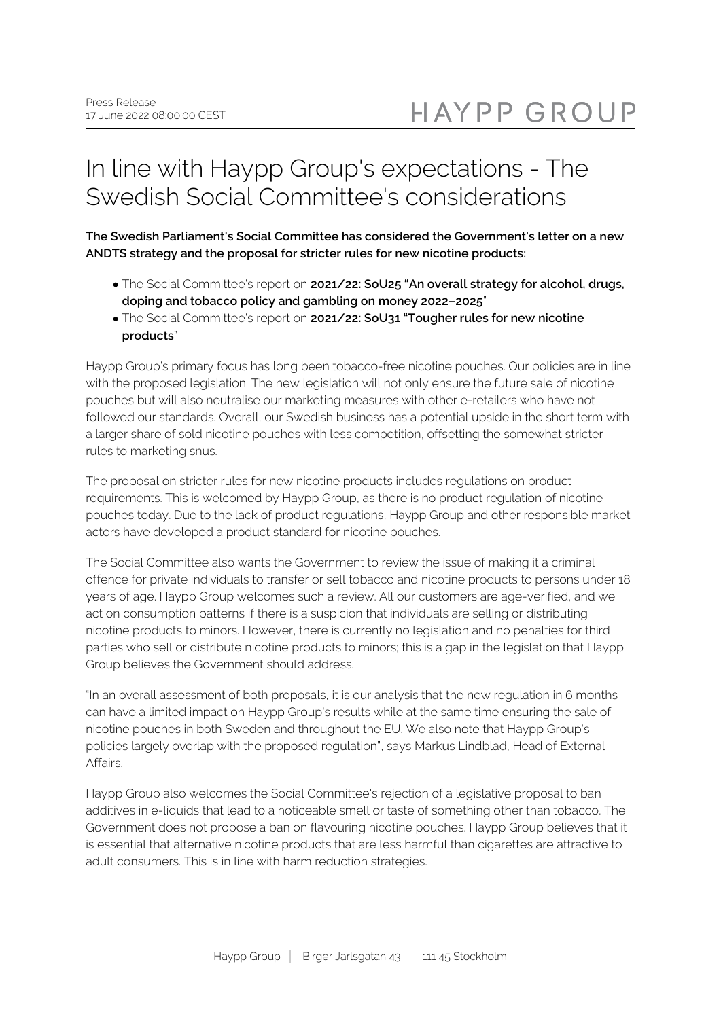## In line with Haypp Group's expectations - The Swedish Social Committee's considerations

**The Swedish Parliament's Social Committee has considered the Government's letter on a new ANDTS strategy and the proposal for stricter rules for new nicotine products:**

- The Social Committee's report on **2021/22: SoU25 "An overall strategy for alcohol, drugs, doping and tobacco policy and gambling on money 2022–2025**"
- The Social Committee's report on **2021/22: SoU31 "Tougher rules for new nicotine products**"

Haypp Group's primary focus has long been tobacco-free nicotine pouches. Our policies are in line with the proposed legislation. The new legislation will not only ensure the future sale of nicotine pouches but will also neutralise our marketing measures with other e-retailers who have not followed our standards. Overall, our Swedish business has a potential upside in the short term with a larger share of sold nicotine pouches with less competition, offsetting the somewhat stricter rules to marketing snus.

The proposal on stricter rules for new nicotine products includes regulations on product requirements. This is welcomed by Haypp Group, as there is no product regulation of nicotine pouches today. Due to the lack of product regulations, Haypp Group and other responsible market actors have developed a product standard for nicotine pouches.

The Social Committee also wants the Government to review the issue of making it a criminal offence for private individuals to transfer or sell tobacco and nicotine products to persons under 18 years of age. Haypp Group welcomes such a review. All our customers are age-verified, and we act on consumption patterns if there is a suspicion that individuals are selling or distributing nicotine products to minors. However, there is currently no legislation and no penalties for third parties who sell or distribute nicotine products to minors; this is a gap in the legislation that Haypp Group believes the Government should address.

"In an overall assessment of both proposals, it is our analysis that the new regulation in 6 months can have a limited impact on Haypp Group's results while at the same time ensuring the sale of nicotine pouches in both Sweden and throughout the EU. We also note that Haypp Group's policies largely overlap with the proposed regulation", says Markus Lindblad, Head of External Affairs.

Haypp Group also welcomes the Social Committee's rejection of a legislative proposal to ban additives in e-liquids that lead to a noticeable smell or taste of something other than tobacco. The Government does not propose a ban on flavouring nicotine pouches. Haypp Group believes that it is essential that alternative nicotine products that are less harmful than cigarettes are attractive to adult consumers. This is in line with harm reduction strategies.